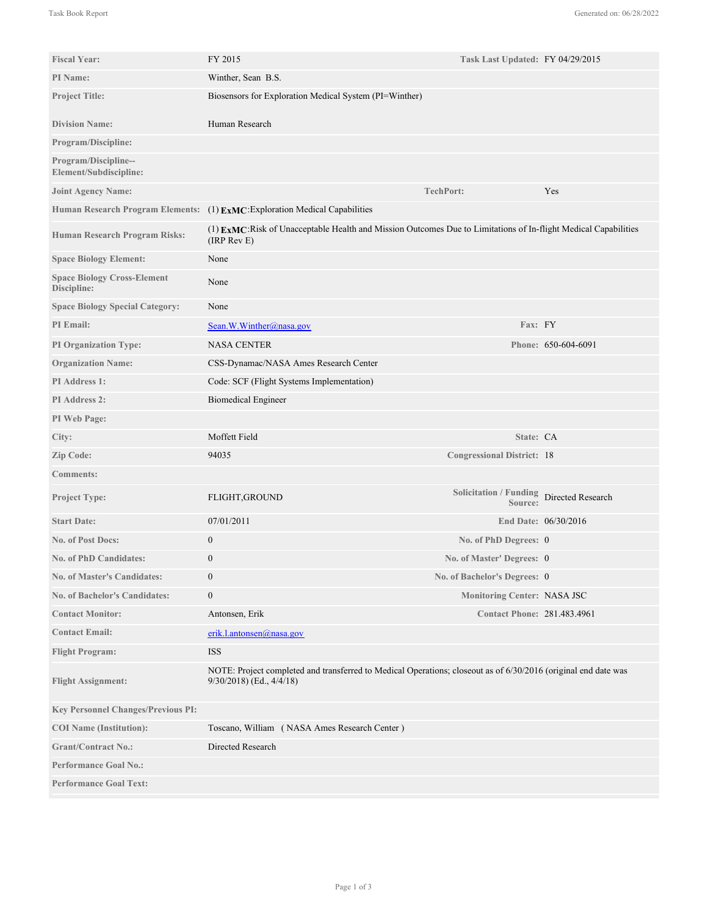| <b>Fiscal Year:</b>                               | FY 2015                                                                                                                                    | Task Last Updated: FY 04/29/2015                    |                      |
|---------------------------------------------------|--------------------------------------------------------------------------------------------------------------------------------------------|-----------------------------------------------------|----------------------|
| PI Name:                                          | Winther, Sean B.S.                                                                                                                         |                                                     |                      |
| <b>Project Title:</b>                             | Biosensors for Exploration Medical System (PI=Winther)                                                                                     |                                                     |                      |
| <b>Division Name:</b>                             | Human Research                                                                                                                             |                                                     |                      |
| <b>Program/Discipline:</b>                        |                                                                                                                                            |                                                     |                      |
| Program/Discipline--<br>Element/Subdiscipline:    |                                                                                                                                            |                                                     |                      |
| <b>Joint Agency Name:</b>                         |                                                                                                                                            | <b>TechPort:</b>                                    | Yes                  |
|                                                   | Human Research Program Elements: (1) ExMC: Exploration Medical Capabilities                                                                |                                                     |                      |
| Human Research Program Risks:                     | (1) EXMC:Risk of Unacceptable Health and Mission Outcomes Due to Limitations of In-flight Medical Capabilities<br>$(IRP$ Rev $E)$          |                                                     |                      |
| <b>Space Biology Element:</b>                     | None                                                                                                                                       |                                                     |                      |
| <b>Space Biology Cross-Element</b><br>Discipline: | None                                                                                                                                       |                                                     |                      |
| <b>Space Biology Special Category:</b>            | None                                                                                                                                       |                                                     |                      |
| <b>PI</b> Email:                                  | Sean.W.Winther@nasa.gov                                                                                                                    | Fax: FY                                             |                      |
| <b>PI Organization Type:</b>                      | <b>NASA CENTER</b>                                                                                                                         |                                                     | Phone: 650-604-6091  |
| <b>Organization Name:</b>                         | CSS-Dynamac/NASA Ames Research Center                                                                                                      |                                                     |                      |
| PI Address 1:                                     | Code: SCF (Flight Systems Implementation)                                                                                                  |                                                     |                      |
| PI Address 2:                                     | <b>Biomedical Engineer</b>                                                                                                                 |                                                     |                      |
| PI Web Page:                                      |                                                                                                                                            |                                                     |                      |
| City:                                             | Moffett Field                                                                                                                              | State: CA                                           |                      |
| Zip Code:                                         | 94035                                                                                                                                      | <b>Congressional District: 18</b>                   |                      |
| <b>Comments:</b>                                  |                                                                                                                                            |                                                     |                      |
| <b>Project Type:</b>                              | FLIGHT, GROUND                                                                                                                             | Solicitation / Funding Directed Research<br>Source: |                      |
| <b>Start Date:</b>                                | 07/01/2011                                                                                                                                 |                                                     | End Date: 06/30/2016 |
| <b>No. of Post Docs:</b>                          | $\mathbf{0}$                                                                                                                               | No. of PhD Degrees: 0                               |                      |
| <b>No. of PhD Candidates:</b>                     | $\mathbf{0}$                                                                                                                               | No. of Master' Degrees: 0                           |                      |
| <b>No. of Master's Candidates:</b>                | $\boldsymbol{0}$                                                                                                                           | No. of Bachelor's Degrees: 0                        |                      |
| <b>No. of Bachelor's Candidates:</b>              | $\boldsymbol{0}$                                                                                                                           | Monitoring Center: NASA JSC                         |                      |
| <b>Contact Monitor:</b>                           | Antonsen, Erik                                                                                                                             | <b>Contact Phone: 281.483.4961</b>                  |                      |
| <b>Contact Email:</b>                             | erik.l.antonsen@nasa.gov                                                                                                                   |                                                     |                      |
| <b>Flight Program:</b>                            | <b>ISS</b>                                                                                                                                 |                                                     |                      |
| <b>Flight Assignment:</b>                         | NOTE: Project completed and transferred to Medical Operations; closeout as of 6/30/2016 (original end date was<br>9/30/2018) (Ed., 4/4/18) |                                                     |                      |
| <b>Key Personnel Changes/Previous PI:</b>         |                                                                                                                                            |                                                     |                      |
| <b>COI</b> Name (Institution):                    | Toscano, William (NASA Ames Research Center)                                                                                               |                                                     |                      |
| <b>Grant/Contract No.:</b>                        | Directed Research                                                                                                                          |                                                     |                      |
| <b>Performance Goal No.:</b>                      |                                                                                                                                            |                                                     |                      |
| <b>Performance Goal Text:</b>                     |                                                                                                                                            |                                                     |                      |

The current International Space Station (ISS) electrocardiogram (ECG) system for donning the biomedical sensors is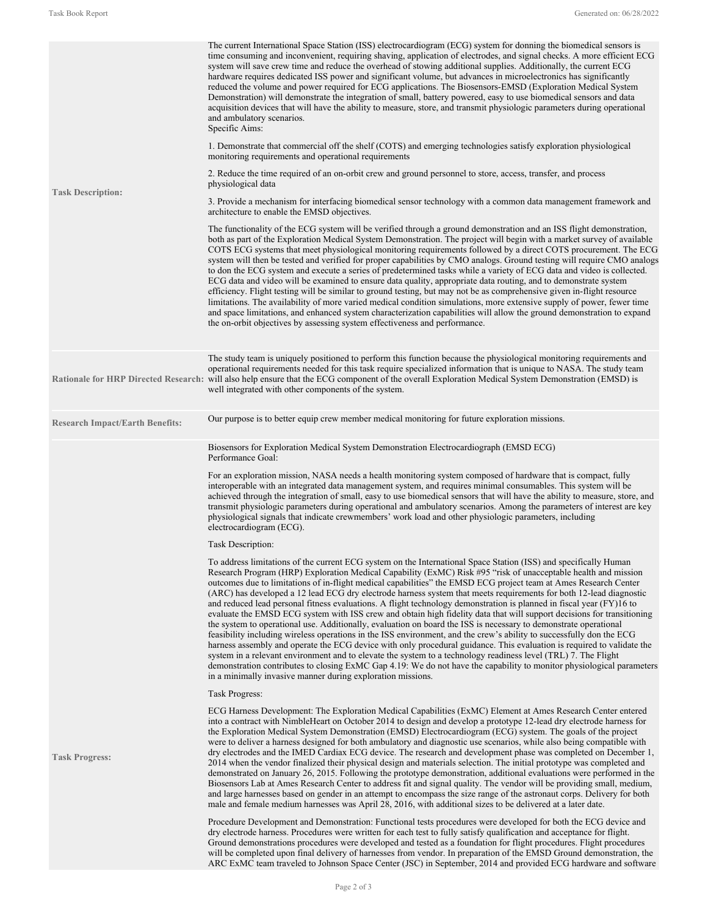| <b>Task Description:</b>               | The current International Space Station (ISS) electrocardiogram (ECG) system for donning the biomedical sensors is<br>time consuming and inconvenient, requiring shaving, application of electrodes, and signal checks. A more efficient ECG<br>system will save crew time and reduce the overhead of stowing additional supplies. Additionally, the current ECG<br>hardware requires dedicated ISS power and significant volume, but advances in microelectronics has significantly<br>reduced the volume and power required for ECG applications. The Biosensors-EMSD (Exploration Medical System<br>Demonstration) will demonstrate the integration of small, battery powered, easy to use biomedical sensors and data<br>acquisition devices that will have the ability to measure, store, and transmit physiologic parameters during operational<br>and ambulatory scenarios.<br>Specific Aims:<br>1. Demonstrate that commercial off the shelf (COTS) and emerging technologies satisfy exploration physiological<br>monitoring requirements and operational requirements<br>2. Reduce the time required of an on-orbit crew and ground personnel to store, access, transfer, and process<br>physiological data<br>3. Provide a mechanism for interfacing biomedical sensor technology with a common data management framework and<br>architecture to enable the EMSD objectives.<br>The functionality of the ECG system will be verified through a ground demonstration and an ISS flight demonstration,<br>both as part of the Exploration Medical System Demonstration. The project will begin with a market survey of available<br>COTS ECG systems that meet physiological monitoring requirements followed by a direct COTS procurement. The ECG<br>system will then be tested and verified for proper capabilities by CMO analogs. Ground testing will require CMO analogs<br>to don the ECG system and execute a series of predetermined tasks while a variety of ECG data and video is collected.<br>ECG data and video will be examined to ensure data quality, appropriate data routing, and to demonstrate system<br>efficiency. Flight testing will be similar to ground testing, but may not be as comprehensive given in-flight resource<br>limitations. The availability of more varied medical condition simulations, more extensive supply of power, fewer time<br>and space limitations, and enhanced system characterization capabilities will allow the ground demonstration to expand<br>the on-orbit objectives by assessing system effectiveness and performance. |  |  |
|----------------------------------------|-------------------------------------------------------------------------------------------------------------------------------------------------------------------------------------------------------------------------------------------------------------------------------------------------------------------------------------------------------------------------------------------------------------------------------------------------------------------------------------------------------------------------------------------------------------------------------------------------------------------------------------------------------------------------------------------------------------------------------------------------------------------------------------------------------------------------------------------------------------------------------------------------------------------------------------------------------------------------------------------------------------------------------------------------------------------------------------------------------------------------------------------------------------------------------------------------------------------------------------------------------------------------------------------------------------------------------------------------------------------------------------------------------------------------------------------------------------------------------------------------------------------------------------------------------------------------------------------------------------------------------------------------------------------------------------------------------------------------------------------------------------------------------------------------------------------------------------------------------------------------------------------------------------------------------------------------------------------------------------------------------------------------------------------------------------------------------------------------------------------------------------------------------------------------------------------------------------------------------------------------------------------------------------------------------------------------------------------------------------------------------------------------------------------------------------------------------------------------------------------------------------------------------------------------------------------------------------------------|--|--|
|                                        | The study team is uniquely positioned to perform this function because the physiological monitoring requirements and<br>operational requirements needed for this task require specialized information that is unique to NASA. The study team<br>Rationale for HRP Directed Research: will also help ensure that the ECG component of the overall Exploration Medical System Demonstration (EMSD) is<br>well integrated with other components of the system.                                                                                                                                                                                                                                                                                                                                                                                                                                                                                                                                                                                                                                                                                                                                                                                                                                                                                                                                                                                                                                                                                                                                                                                                                                                                                                                                                                                                                                                                                                                                                                                                                                                                                                                                                                                                                                                                                                                                                                                                                                                                                                                                     |  |  |
| <b>Research Impact/Earth Benefits:</b> | Our purpose is to better equip crew member medical monitoring for future exploration missions.                                                                                                                                                                                                                                                                                                                                                                                                                                                                                                                                                                                                                                                                                                                                                                                                                                                                                                                                                                                                                                                                                                                                                                                                                                                                                                                                                                                                                                                                                                                                                                                                                                                                                                                                                                                                                                                                                                                                                                                                                                                                                                                                                                                                                                                                                                                                                                                                                                                                                                  |  |  |
|                                        | Biosensors for Exploration Medical System Demonstration Electrocardiograph (EMSD ECG)<br>Performance Goal:                                                                                                                                                                                                                                                                                                                                                                                                                                                                                                                                                                                                                                                                                                                                                                                                                                                                                                                                                                                                                                                                                                                                                                                                                                                                                                                                                                                                                                                                                                                                                                                                                                                                                                                                                                                                                                                                                                                                                                                                                                                                                                                                                                                                                                                                                                                                                                                                                                                                                      |  |  |
|                                        | For an exploration mission, NASA needs a health monitoring system composed of hardware that is compact, fully<br>interoperable with an integrated data management system, and requires minimal consumables. This system will be<br>achieved through the integration of small, easy to use biomedical sensors that will have the ability to measure, store, and<br>transmit physiologic parameters during operational and ambulatory scenarios. Among the parameters of interest are key<br>physiological signals that indicate crewmembers' work load and other physiologic parameters, including<br>electrocardiogram (ECG).                                                                                                                                                                                                                                                                                                                                                                                                                                                                                                                                                                                                                                                                                                                                                                                                                                                                                                                                                                                                                                                                                                                                                                                                                                                                                                                                                                                                                                                                                                                                                                                                                                                                                                                                                                                                                                                                                                                                                                   |  |  |
|                                        | Task Description:                                                                                                                                                                                                                                                                                                                                                                                                                                                                                                                                                                                                                                                                                                                                                                                                                                                                                                                                                                                                                                                                                                                                                                                                                                                                                                                                                                                                                                                                                                                                                                                                                                                                                                                                                                                                                                                                                                                                                                                                                                                                                                                                                                                                                                                                                                                                                                                                                                                                                                                                                                               |  |  |
|                                        | To address limitations of the current ECG system on the International Space Station (ISS) and specifically Human<br>Research Program (HRP) Exploration Medical Capability (ExMC) Risk #95 "risk of unacceptable health and mission<br>outcomes due to limitations of in-flight medical capabilities" the EMSD ECG project team at Ames Research Center<br>(ARC) has developed a 12 lead ECG dry electrode harness system that meets requirements for both 12-lead diagnostic<br>and reduced lead personal fitness evaluations. A flight technology demonstration is planned in fiscal year (FY)16 to<br>evaluate the EMSD ECG system with ISS crew and obtain high fidelity data that will support decisions for transitioning<br>the system to operational use. Additionally, evaluation on board the ISS is necessary to demonstrate operational<br>feasibility including wireless operations in the ISS environment, and the crew's ability to successfully don the ECG<br>harness assembly and operate the ECG device with only procedural guidance. This evaluation is required to validate the<br>system in a relevant environment and to elevate the system to a technology readiness level (TRL) 7. The Flight<br>demonstration contributes to closing ExMC Gap 4.19: We do not have the capability to monitor physiological parameters<br>in a minimally invasive manner during exploration missions.                                                                                                                                                                                                                                                                                                                                                                                                                                                                                                                                                                                                                                                                                                                                                                                                                                                                                                                                                                                                                                                                                                                                                                                  |  |  |
|                                        | Task Progress:                                                                                                                                                                                                                                                                                                                                                                                                                                                                                                                                                                                                                                                                                                                                                                                                                                                                                                                                                                                                                                                                                                                                                                                                                                                                                                                                                                                                                                                                                                                                                                                                                                                                                                                                                                                                                                                                                                                                                                                                                                                                                                                                                                                                                                                                                                                                                                                                                                                                                                                                                                                  |  |  |
| <b>Task Progress:</b>                  | ECG Harness Development: The Exploration Medical Capabilities (ExMC) Element at Ames Research Center entered<br>into a contract with NimbleHeart on October 2014 to design and develop a prototype 12-lead dry electrode harness for<br>the Exploration Medical System Demonstration (EMSD) Electrocardiogram (ECG) system. The goals of the project<br>were to deliver a harness designed for both ambulatory and diagnostic use scenarios, while also being compatible with<br>dry electrodes and the IMED Cardiax ECG device. The research and development phase was completed on December 1,<br>2014 when the vendor finalized their physical design and materials selection. The initial prototype was completed and<br>demonstrated on January 26, 2015. Following the prototype demonstration, additional evaluations were performed in the<br>Biosensors Lab at Ames Research Center to address fit and signal quality. The vendor will be providing small, medium,<br>and large harnesses based on gender in an attempt to encompass the size range of the astronaut corps. Delivery for both<br>male and female medium harnesses was April 28, 2016, with additional sizes to be delivered at a later date.                                                                                                                                                                                                                                                                                                                                                                                                                                                                                                                                                                                                                                                                                                                                                                                                                                                                                                                                                                                                                                                                                                                                                                                                                                                                                                                                                                           |  |  |
|                                        | Procedure Development and Demonstration: Functional tests procedures were developed for both the ECG device and<br>dry electrode harness. Procedures were written for each test to fully satisfy qualification and acceptance for flight.<br>Ground demonstrations procedures were developed and tested as a foundation for flight procedures. Flight procedures<br>will be completed upon final delivery of harnesses from vendor. In preparation of the EMSD Ground demonstration, the<br>ARC ExMC team traveled to Johnson Space Center (JSC) in September, 2014 and provided ECG hardware and software                                                                                                                                                                                                                                                                                                                                                                                                                                                                                                                                                                                                                                                                                                                                                                                                                                                                                                                                                                                                                                                                                                                                                                                                                                                                                                                                                                                                                                                                                                                                                                                                                                                                                                                                                                                                                                                                                                                                                                                      |  |  |